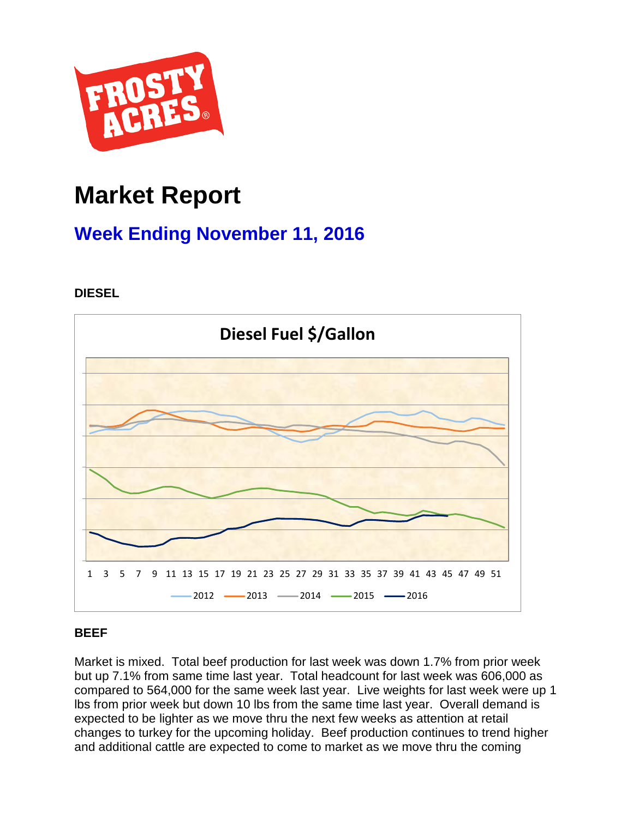

# **Market Report**

# **Week Ending November 11, 2016**

**DIESEL**



# **BEEF**

Market is mixed. Total beef production for last week was down 1.7% from prior week but up 7.1% from same time last year. Total headcount for last week was 606,000 as compared to 564,000 for the same week last year. Live weights for last week were up 1 lbs from prior week but down 10 lbs from the same time last year. Overall demand is expected to be lighter as we move thru the next few weeks as attention at retail changes to turkey for the upcoming holiday. Beef production continues to trend higher and additional cattle are expected to come to market as we move thru the coming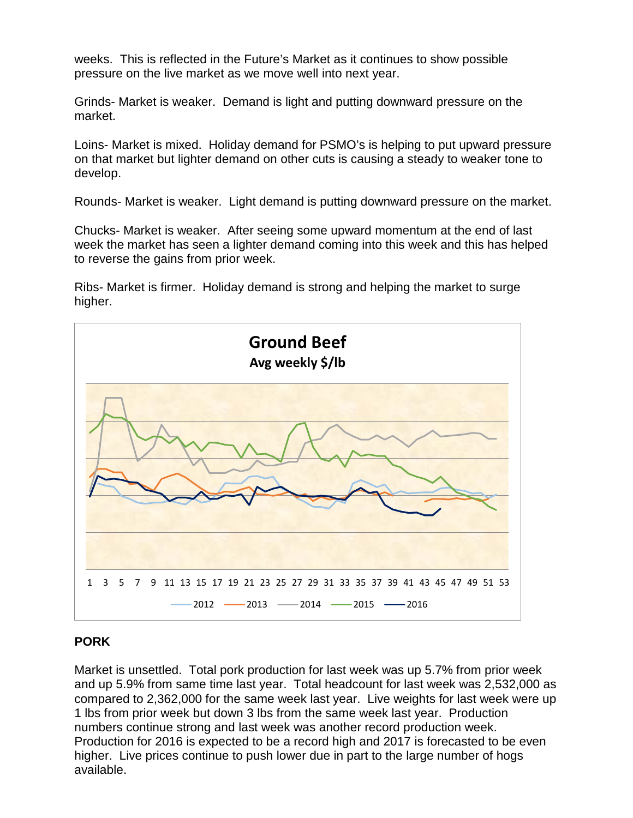weeks. This is reflected in the Future's Market as it continues to show possible pressure on the live market as we move well into next year.

Grinds- Market is weaker. Demand is light and putting downward pressure on the market.

Loins- Market is mixed. Holiday demand for PSMO's is helping to put upward pressure on that market but lighter demand on other cuts is causing a steady to weaker tone to develop.

Rounds- Market is weaker. Light demand is putting downward pressure on the market.

Chucks- Market is weaker. After seeing some upward momentum at the end of last week the market has seen a lighter demand coming into this week and this has helped to reverse the gains from prior week.

Ribs- Market is firmer. Holiday demand is strong and helping the market to surge higher.



## **PORK**

Market is unsettled. Total pork production for last week was up 5.7% from prior week and up 5.9% from same time last year. Total headcount for last week was 2,532,000 as compared to 2,362,000 for the same week last year. Live weights for last week were up 1 lbs from prior week but down 3 lbs from the same week last year. Production numbers continue strong and last week was another record production week. Production for 2016 is expected to be a record high and 2017 is forecasted to be even higher. Live prices continue to push lower due in part to the large number of hogs available.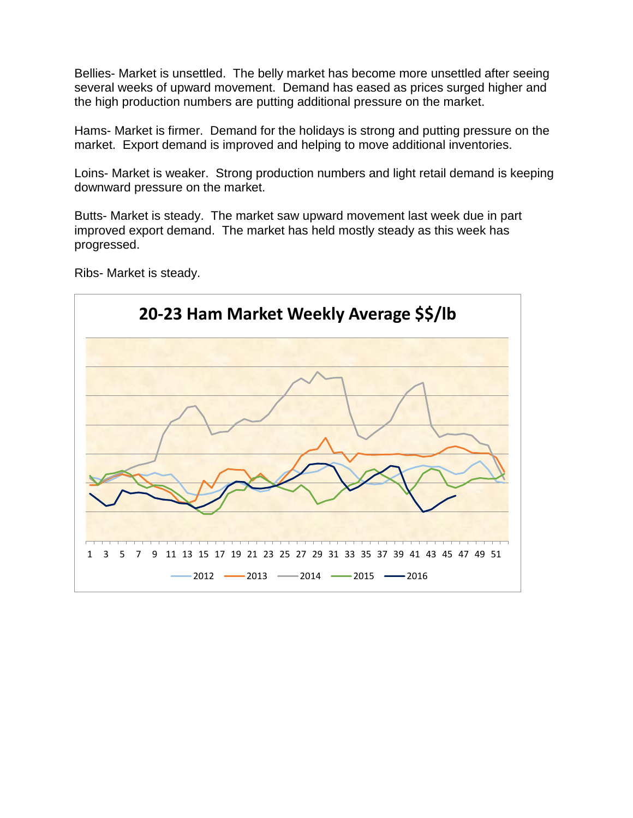Bellies- Market is unsettled. The belly market has become more unsettled after seeing several weeks of upward movement. Demand has eased as prices surged higher and the high production numbers are putting additional pressure on the market.

Hams- Market is firmer. Demand for the holidays is strong and putting pressure on the market. Export demand is improved and helping to move additional inventories.

Loins- Market is weaker. Strong production numbers and light retail demand is keeping downward pressure on the market.

Butts- Market is steady. The market saw upward movement last week due in part improved export demand. The market has held mostly steady as this week has progressed.



Ribs- Market is steady.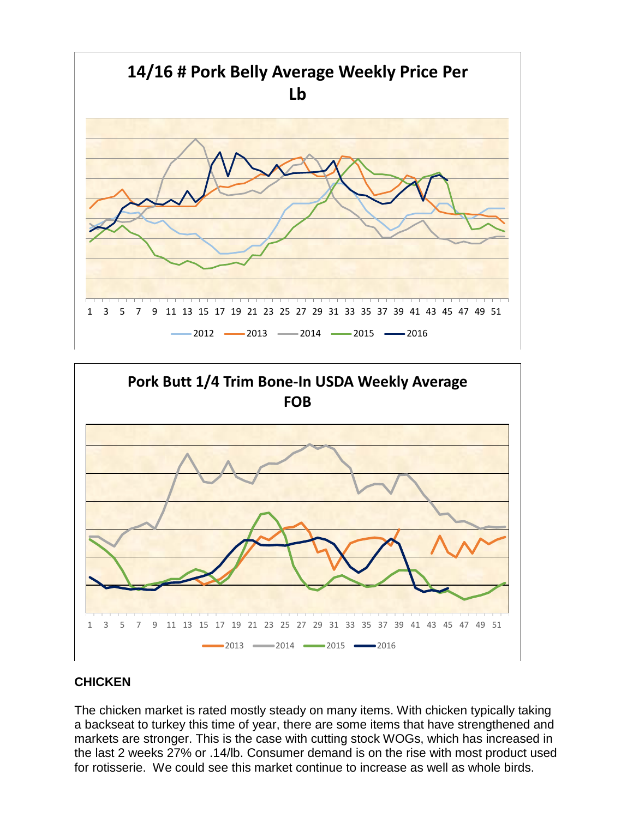



## **CHICKEN**

The chicken market is rated mostly steady on many items. With chicken typically taking a backseat to turkey this time of year, there are some items that have strengthened and markets are stronger. This is the case with cutting stock WOGs, which has increased in the last 2 weeks 27% or .14/lb. Consumer demand is on the rise with most product used for rotisserie. We could see this market continue to increase as well as whole birds.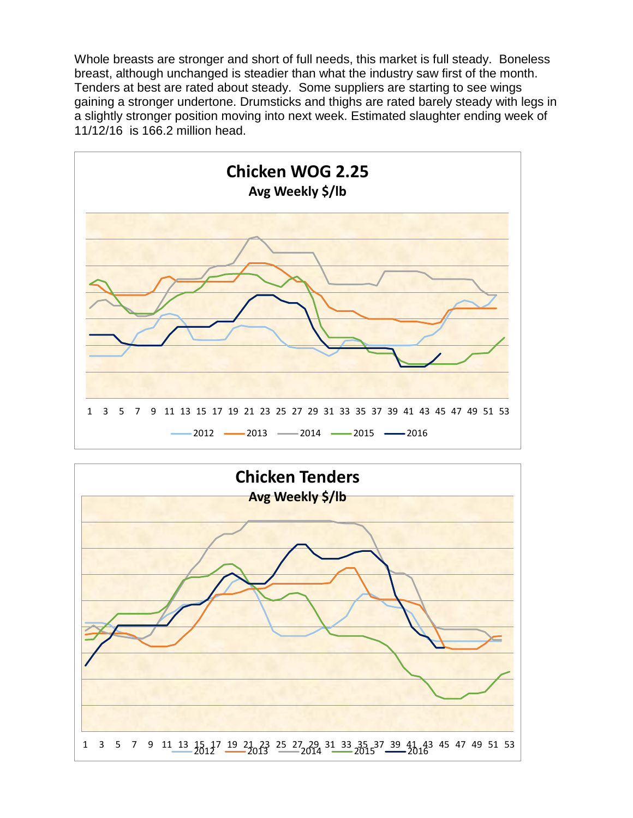Whole breasts are stronger and short of full needs, this market is full steady. Boneless breast, although unchanged is steadier than what the industry saw first of the month. Tenders at best are rated about steady. Some suppliers are starting to see wings gaining a stronger undertone. Drumsticks and thighs are rated barely steady with legs in a slightly stronger position moving into next week. Estimated slaughter ending week of 11/12/16 is 166.2 million head.



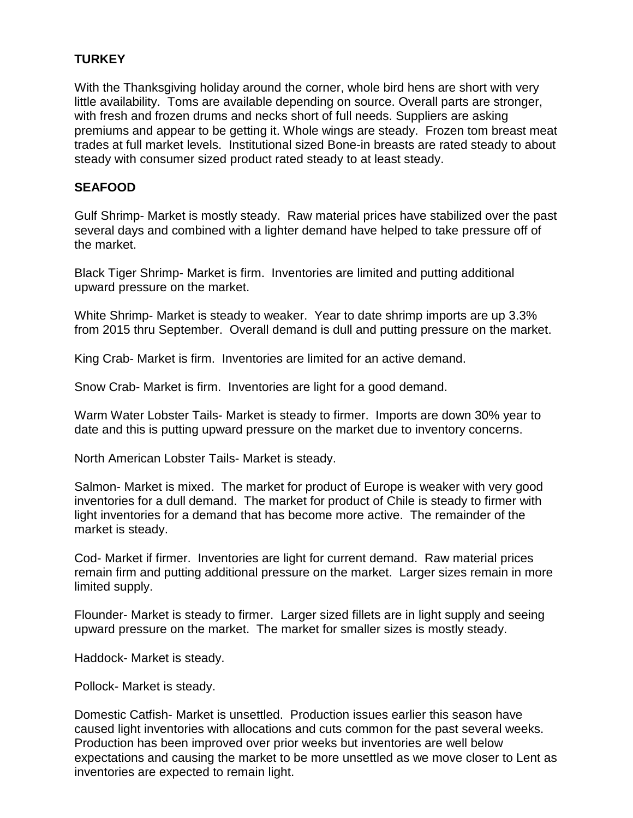## **TURKEY**

With the Thanksgiving holiday around the corner, whole bird hens are short with very little availability. Toms are available depending on source. Overall parts are stronger, with fresh and frozen drums and necks short of full needs. Suppliers are asking premiums and appear to be getting it. Whole wings are steady. Frozen tom breast meat trades at full market levels. Institutional sized Bone-in breasts are rated steady to about steady with consumer sized product rated steady to at least steady.

#### **SEAFOOD**

Gulf Shrimp- Market is mostly steady. Raw material prices have stabilized over the past several days and combined with a lighter demand have helped to take pressure off of the market.

Black Tiger Shrimp- Market is firm. Inventories are limited and putting additional upward pressure on the market.

White Shrimp- Market is steady to weaker. Year to date shrimp imports are up 3.3% from 2015 thru September. Overall demand is dull and putting pressure on the market.

King Crab- Market is firm. Inventories are limited for an active demand.

Snow Crab- Market is firm. Inventories are light for a good demand.

Warm Water Lobster Tails- Market is steady to firmer. Imports are down 30% year to date and this is putting upward pressure on the market due to inventory concerns.

North American Lobster Tails- Market is steady.

Salmon- Market is mixed. The market for product of Europe is weaker with very good inventories for a dull demand. The market for product of Chile is steady to firmer with light inventories for a demand that has become more active. The remainder of the market is steady.

Cod- Market if firmer. Inventories are light for current demand. Raw material prices remain firm and putting additional pressure on the market. Larger sizes remain in more limited supply.

Flounder- Market is steady to firmer. Larger sized fillets are in light supply and seeing upward pressure on the market. The market for smaller sizes is mostly steady.

Haddock- Market is steady.

Pollock- Market is steady.

Domestic Catfish- Market is unsettled. Production issues earlier this season have caused light inventories with allocations and cuts common for the past several weeks. Production has been improved over prior weeks but inventories are well below expectations and causing the market to be more unsettled as we move closer to Lent as inventories are expected to remain light.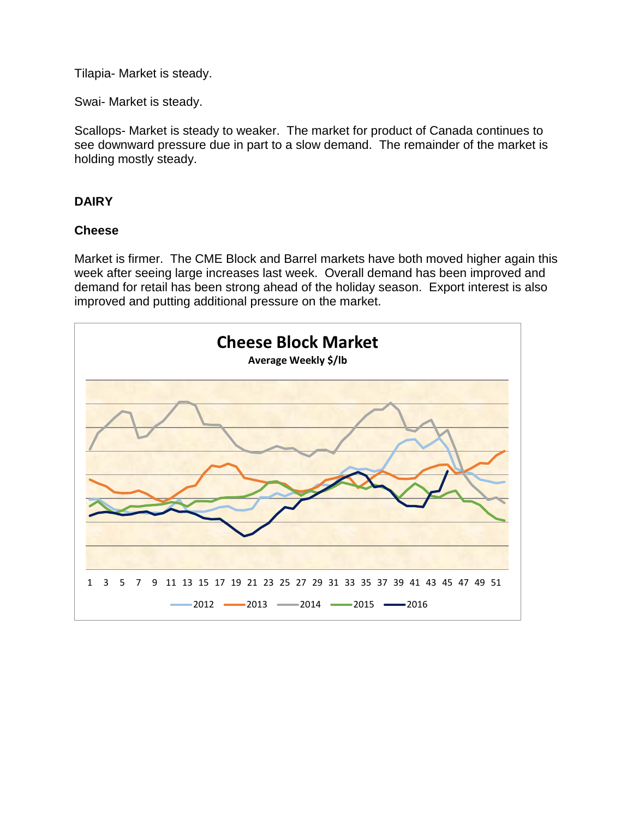Tilapia- Market is steady.

Swai- Market is steady.

Scallops- Market is steady to weaker. The market for product of Canada continues to see downward pressure due in part to a slow demand. The remainder of the market is holding mostly steady.

### **DAIRY**

#### **Cheese**

Market is firmer. The CME Block and Barrel markets have both moved higher again this week after seeing large increases last week. Overall demand has been improved and demand for retail has been strong ahead of the holiday season. Export interest is also improved and putting additional pressure on the market.

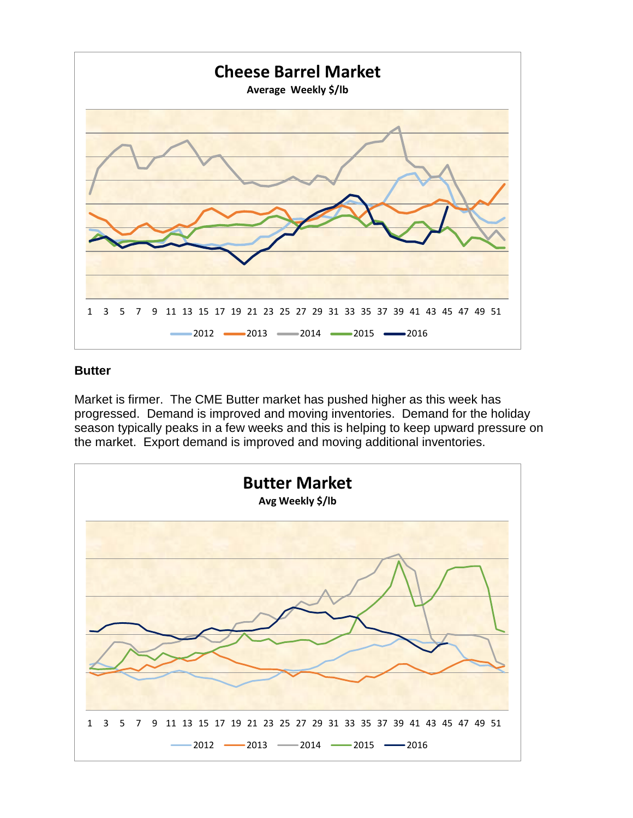

#### **Butter**

Market is firmer. The CME Butter market has pushed higher as this week has progressed. Demand is improved and moving inventories. Demand for the holiday season typically peaks in a few weeks and this is helping to keep upward pressure on the market. Export demand is improved and moving additional inventories.

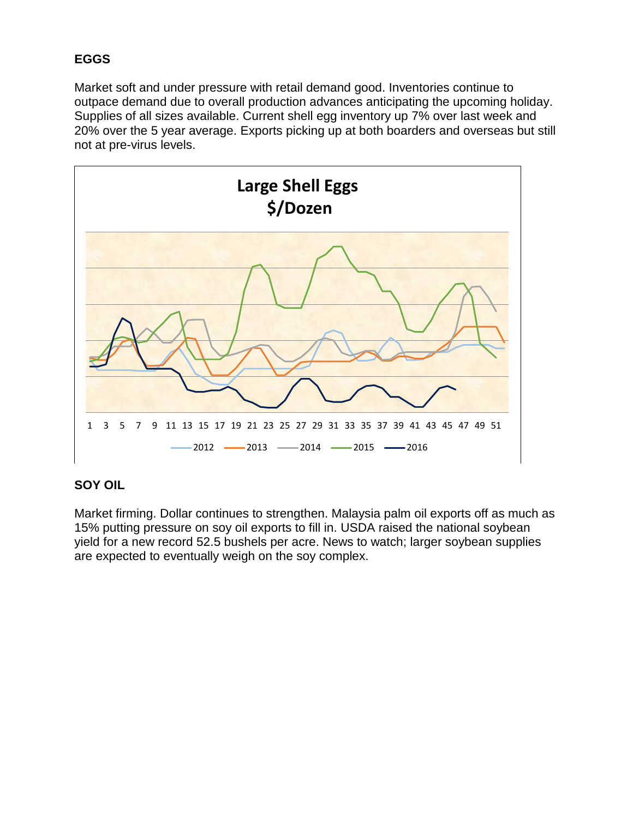# **EGGS**

Market soft and under pressure with retail demand good. Inventories continue to outpace demand due to overall production advances anticipating the upcoming holiday. Supplies of all sizes available. Current shell egg inventory up 7% over last week and 20% over the 5 year average. Exports picking up at both boarders and overseas but still not at pre-virus levels.



## **SOY OIL**

Market firming. Dollar continues to strengthen. Malaysia palm oil exports off as much as 15% putting pressure on soy oil exports to fill in. USDA raised the national soybean yield for a new record 52.5 bushels per acre. News to watch; larger soybean supplies are expected to eventually weigh on the soy complex.